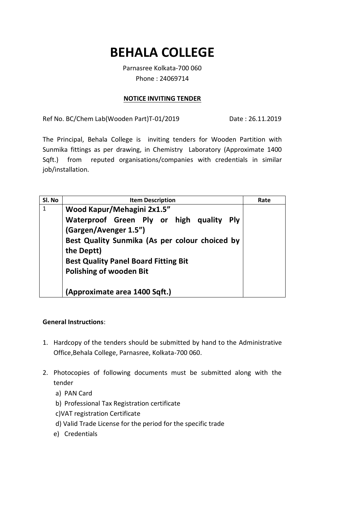## **BEHALA COLLEGE**

Parnasree Kolkata-700 060 Phone : 24069714

## **NOTICE INVITING TENDER**

Ref No. BC/Chem Lab(Wooden Part)T-01/2019 Date : 26.11.2019

The Principal, Behala College is inviting tenders for Wooden Partition with Sunmika fittings as per drawing, in Chemistry Laboratory (Approximate 1400 Sqft.) from reputed organisations/companies with credentials in similar job/installation.

| SI. No       | <b>Item Description</b>                                                               | Rate |
|--------------|---------------------------------------------------------------------------------------|------|
| $\mathbf{1}$ | Wood Kapur/Mehagini 2x1.5"<br>Waterproof Green Ply or high quality<br><b>Ply</b>      |      |
|              | (Gargen/Avenger 1.5")<br>Best Quality Sunmika (As per colour choiced by<br>the Deptt) |      |
|              | <b>Best Quality Panel Board Fitting Bit</b>                                           |      |
|              | <b>Polishing of wooden Bit</b>                                                        |      |
|              | (Approximate area 1400 Sqft.)                                                         |      |

## **General Instructions**:

- 1. Hardcopy of the tenders should be submitted by hand to the Administrative Office,Behala College, Parnasree, Kolkata-700 060.
- 2. Photocopies of following documents must be submitted along with the tender
	- a) PAN Card
	- b) Professional Tax Registration certificate
	- c)VAT registration Certificate
	- d) Valid Trade License for the period for the specific trade
	- e) Credentials